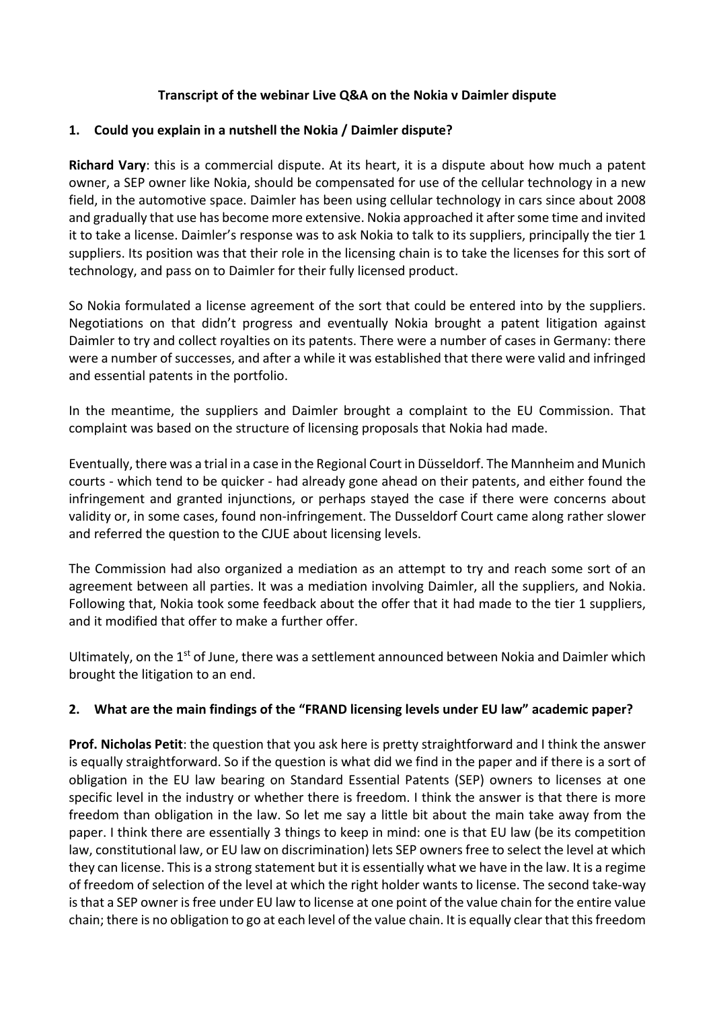## **Transcript of the webinar Live Q&A on the Nokia v Daimler dispute**

#### **1. Could you explain in a nutshell the Nokia / Daimler dispute?**

**Richard Vary**: this is a commercial dispute. At its heart, it is a dispute about how much a patent owner, a SEP owner like Nokia, should be compensated for use of the cellular technology in a new field, in the automotive space. Daimler has been using cellular technology in cars since about 2008 and gradually that use has become more extensive. Nokia approached it after some time and invited it to take a license. Daimler's response was to ask Nokia to talk to its suppliers, principally the tier 1 suppliers. Its position was that their role in the licensing chain is to take the licenses for this sort of technology, and pass on to Daimler for their fully licensed product.

So Nokia formulated a license agreement of the sort that could be entered into by the suppliers. Negotiations on that didn't progress and eventually Nokia brought a patent litigation against Daimler to try and collect royalties on its patents. There were a number of cases in Germany: there were a number of successes, and after a while it was established that there were valid and infringed and essential patents in the portfolio.

In the meantime, the suppliers and Daimler brought a complaint to the EU Commission. That complaint was based on the structure of licensing proposals that Nokia had made.

Eventually, there was a trial in a case in the Regional Court in Düsseldorf. The Mannheim and Munich courts - which tend to be quicker - had already gone ahead on their patents, and either found the infringement and granted injunctions, or perhaps stayed the case if there were concerns about validity or, in some cases, found non-infringement. The Dusseldorf Court came along rather slower and referred the question to the CJUE about licensing levels.

The Commission had also organized a mediation as an attempt to try and reach some sort of an agreement between all parties. It was a mediation involving Daimler, all the suppliers, and Nokia. Following that, Nokia took some feedback about the offer that it had made to the tier 1 suppliers, and it modified that offer to make a further offer.

Ultimately, on the  $1<sup>st</sup>$  of June, there was a settlement announced between Nokia and Daimler which brought the litigation to an end.

## **2. What are the main findings of the "FRAND licensing levels under EU law" academic paper?**

**Prof. Nicholas Petit**: the question that you ask here is pretty straightforward and I think the answer is equally straightforward. So if the question is what did we find in the paper and if there is a sort of obligation in the EU law bearing on Standard Essential Patents (SEP) owners to licenses at one specific level in the industry or whether there is freedom. I think the answer is that there is more freedom than obligation in the law. So let me say a little bit about the main take away from the paper. I think there are essentially 3 things to keep in mind: one is that EU law (be its competition law, constitutional law, or EU law on discrimination) lets SEP owners free to select the level at which they can license. This is a strong statement but it is essentially what we have in the law. It is a regime of freedom of selection of the level at which the right holder wants to license. The second take-way is that a SEP owner is free under EU law to license at one point of the value chain for the entire value chain; there is no obligation to go at each level of the value chain. It is equally clear that this freedom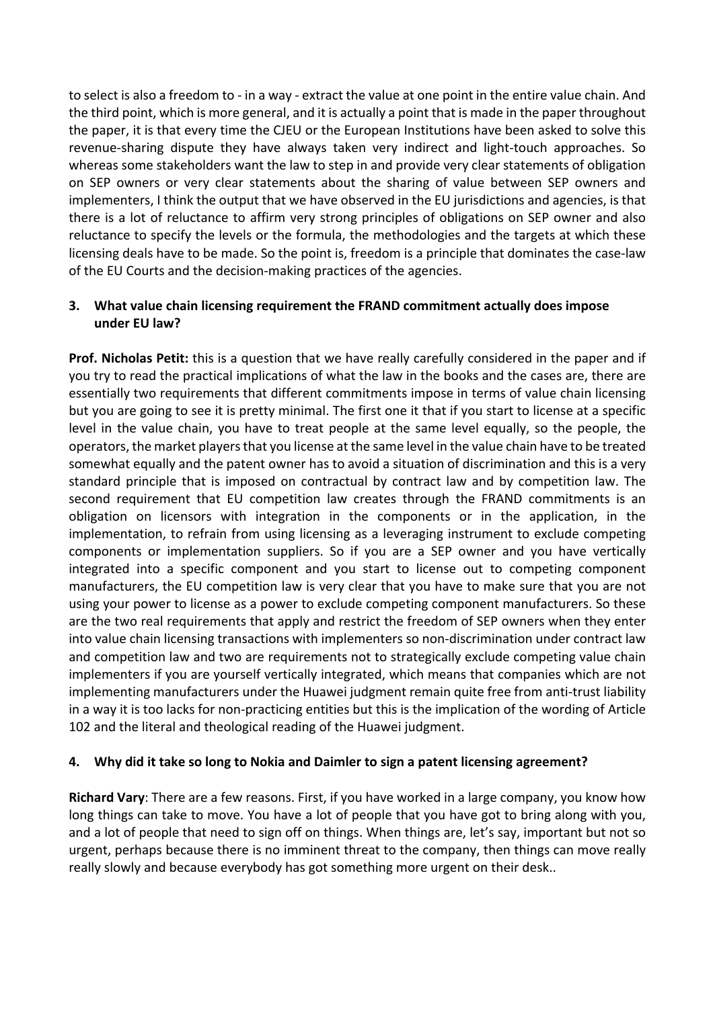to select is also a freedom to - in a way - extract the value at one point in the entire value chain. And the third point, which is more general, and it is actually a point that is made in the paper throughout the paper, it is that every time the CJEU or the European Institutions have been asked to solve this revenue-sharing dispute they have always taken very indirect and light-touch approaches. So whereas some stakeholders want the law to step in and provide very clear statements of obligation on SEP owners or very clear statements about the sharing of value between SEP owners and implementers, I think the output that we have observed in the EU jurisdictions and agencies, is that there is a lot of reluctance to affirm very strong principles of obligations on SEP owner and also reluctance to specify the levels or the formula, the methodologies and the targets at which these licensing deals have to be made. So the point is, freedom is a principle that dominates the case-law of the EU Courts and the decision-making practices of the agencies.

## **3. What value chain licensing requirement the FRAND commitment actually does impose under EU law?**

**Prof. Nicholas Petit:** this is a question that we have really carefully considered in the paper and if you try to read the practical implications of what the law in the books and the cases are, there are essentially two requirements that different commitments impose in terms of value chain licensing but you are going to see it is pretty minimal. The first one it that if you start to license at a specific level in the value chain, you have to treat people at the same level equally, so the people, the operators, the market players that you license at the same level in the value chain have to be treated somewhat equally and the patent owner has to avoid a situation of discrimination and this is a very standard principle that is imposed on contractual by contract law and by competition law. The second requirement that EU competition law creates through the FRAND commitments is an obligation on licensors with integration in the components or in the application, in the implementation, to refrain from using licensing as a leveraging instrument to exclude competing components or implementation suppliers. So if you are a SEP owner and you have vertically integrated into a specific component and you start to license out to competing component manufacturers, the EU competition law is very clear that you have to make sure that you are not using your power to license as a power to exclude competing component manufacturers. So these are the two real requirements that apply and restrict the freedom of SEP owners when they enter into value chain licensing transactions with implementers so non-discrimination under contract law and competition law and two are requirements not to strategically exclude competing value chain implementers if you are yourself vertically integrated, which means that companies which are not implementing manufacturers under the Huawei judgment remain quite free from anti-trust liability in a way it is too lacks for non-practicing entities but this is the implication of the wording of Article 102 and the literal and theological reading of the Huawei judgment.

## **4. Why did it take so long to Nokia and Daimler to sign a patent licensing agreement?**

**Richard Vary**: There are a few reasons. First, if you have worked in a large company, you know how long things can take to move. You have a lot of people that you have got to bring along with you, and a lot of people that need to sign off on things. When things are, let's say, important but not so urgent, perhaps because there is no imminent threat to the company, then things can move really really slowly and because everybody has got something more urgent on their desk..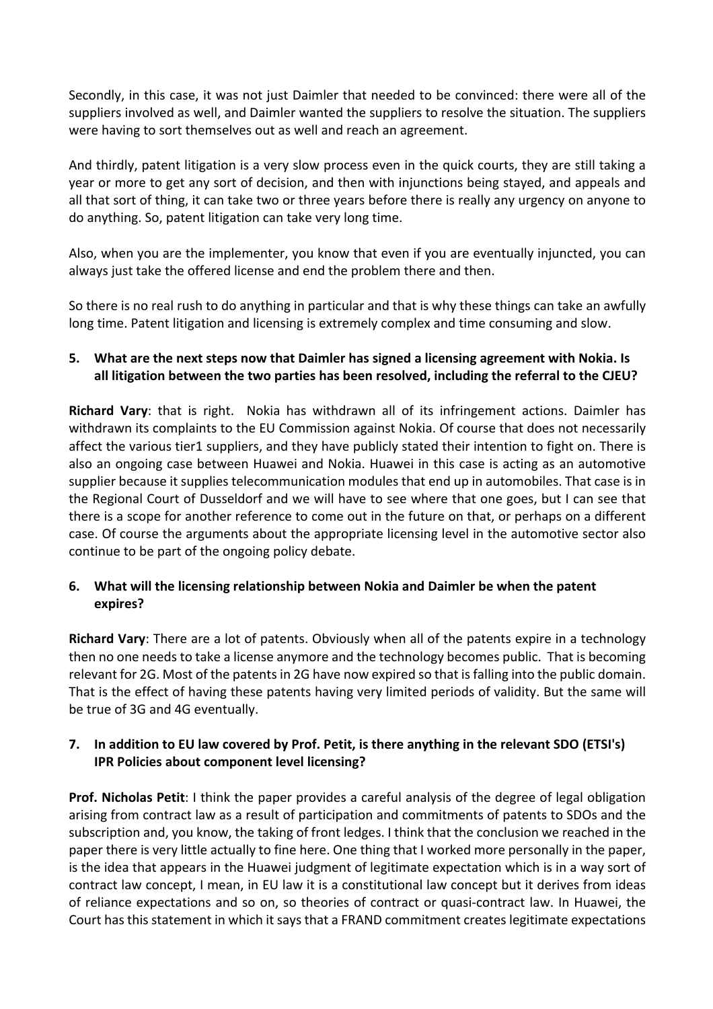Secondly, in this case, it was not just Daimler that needed to be convinced: there were all of the suppliers involved as well, and Daimler wanted the suppliers to resolve the situation. The suppliers were having to sort themselves out as well and reach an agreement.

And thirdly, patent litigation is a very slow process even in the quick courts, they are still taking a year or more to get any sort of decision, and then with injunctions being stayed, and appeals and all that sort of thing, it can take two or three years before there is really any urgency on anyone to do anything. So, patent litigation can take very long time.

Also, when you are the implementer, you know that even if you are eventually injuncted, you can always just take the offered license and end the problem there and then.

So there is no real rush to do anything in particular and that is why these things can take an awfully long time. Patent litigation and licensing is extremely complex and time consuming and slow.

# **5. What are the next steps now that Daimler has signed a licensing agreement with Nokia. Is all litigation between the two parties has been resolved, including the referral to the CJEU?**

**Richard Vary**: that is right. Nokia has withdrawn all of its infringement actions. Daimler has withdrawn its complaints to the EU Commission against Nokia. Of course that does not necessarily affect the various tier1 suppliers, and they have publicly stated their intention to fight on. There is also an ongoing case between Huawei and Nokia. Huawei in this case is acting as an automotive supplier because it supplies telecommunication modules that end up in automobiles. That case is in the Regional Court of Dusseldorf and we will have to see where that one goes, but I can see that there is a scope for another reference to come out in the future on that, or perhaps on a different case. Of course the arguments about the appropriate licensing level in the automotive sector also continue to be part of the ongoing policy debate.

# **6. What will the licensing relationship between Nokia and Daimler be when the patent expires?**

**Richard Vary**: There are a lot of patents. Obviously when all of the patents expire in a technology then no one needs to take a license anymore and the technology becomes public. That is becoming relevant for 2G. Most of the patents in 2G have now expired so that is falling into the public domain. That is the effect of having these patents having very limited periods of validity. But the same will be true of 3G and 4G eventually.

# **7. In addition to EU law covered by Prof. Petit, is there anything in the relevant SDO (ETSI's) IPR Policies about component level licensing?**

**Prof. Nicholas Petit**: I think the paper provides a careful analysis of the degree of legal obligation arising from contract law as a result of participation and commitments of patents to SDOs and the subscription and, you know, the taking of front ledges. I think that the conclusion we reached in the paper there is very little actually to fine here. One thing that I worked more personally in the paper, is the idea that appears in the Huawei judgment of legitimate expectation which is in a way sort of contract law concept, I mean, in EU law it is a constitutional law concept but it derives from ideas of reliance expectations and so on, so theories of contract or quasi-contract law. In Huawei, the Court has this statement in which it says that a FRAND commitment creates legitimate expectations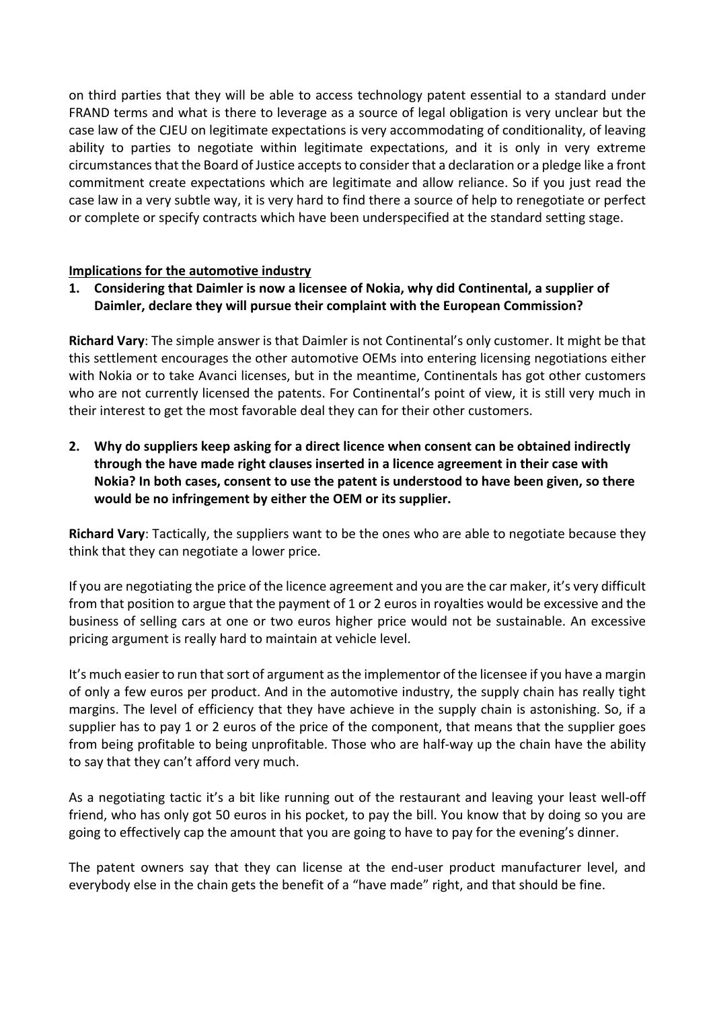on third parties that they will be able to access technology patent essential to a standard under FRAND terms and what is there to leverage as a source of legal obligation is very unclear but the case law of the CJEU on legitimate expectations is very accommodating of conditionality, of leaving ability to parties to negotiate within legitimate expectations, and it is only in very extreme circumstances that the Board of Justice accepts to consider that a declaration or a pledge like a front commitment create expectations which are legitimate and allow reliance. So if you just read the case law in a very subtle way, it is very hard to find there a source of help to renegotiate or perfect or complete or specify contracts which have been underspecified at the standard setting stage.

## **Implications for the automotive industry**

**1. Considering that Daimler is now a licensee of Nokia, why did Continental, a supplier of Daimler, declare they will pursue their complaint with the European Commission?**

**Richard Vary**: The simple answer is that Daimler is not Continental's only customer. It might be that this settlement encourages the other automotive OEMs into entering licensing negotiations either with Nokia or to take Avanci licenses, but in the meantime, Continentals has got other customers who are not currently licensed the patents. For Continental's point of view, it is still very much in their interest to get the most favorable deal they can for their other customers.

**2. Why do suppliers keep asking for a direct licence when consent can be obtained indirectly through the have made right clauses inserted in a licence agreement in their case with Nokia? In both cases, consent to use the patent is understood to have been given, so there would be no infringement by either the OEM or its supplier.**

**Richard Vary**: Tactically, the suppliers want to be the ones who are able to negotiate because they think that they can negotiate a lower price.

If you are negotiating the price of the licence agreement and you are the car maker, it's very difficult from that position to argue that the payment of 1 or 2 euros in royalties would be excessive and the business of selling cars at one or two euros higher price would not be sustainable. An excessive pricing argument is really hard to maintain at vehicle level.

It's much easier to run that sort of argument as the implementor of the licensee if you have a margin of only a few euros per product. And in the automotive industry, the supply chain has really tight margins. The level of efficiency that they have achieve in the supply chain is astonishing. So, if a supplier has to pay 1 or 2 euros of the price of the component, that means that the supplier goes from being profitable to being unprofitable. Those who are half-way up the chain have the ability to say that they can't afford very much.

As a negotiating tactic it's a bit like running out of the restaurant and leaving your least well-off friend, who has only got 50 euros in his pocket, to pay the bill. You know that by doing so you are going to effectively cap the amount that you are going to have to pay for the evening's dinner.

The patent owners say that they can license at the end-user product manufacturer level, and everybody else in the chain gets the benefit of a "have made" right, and that should be fine.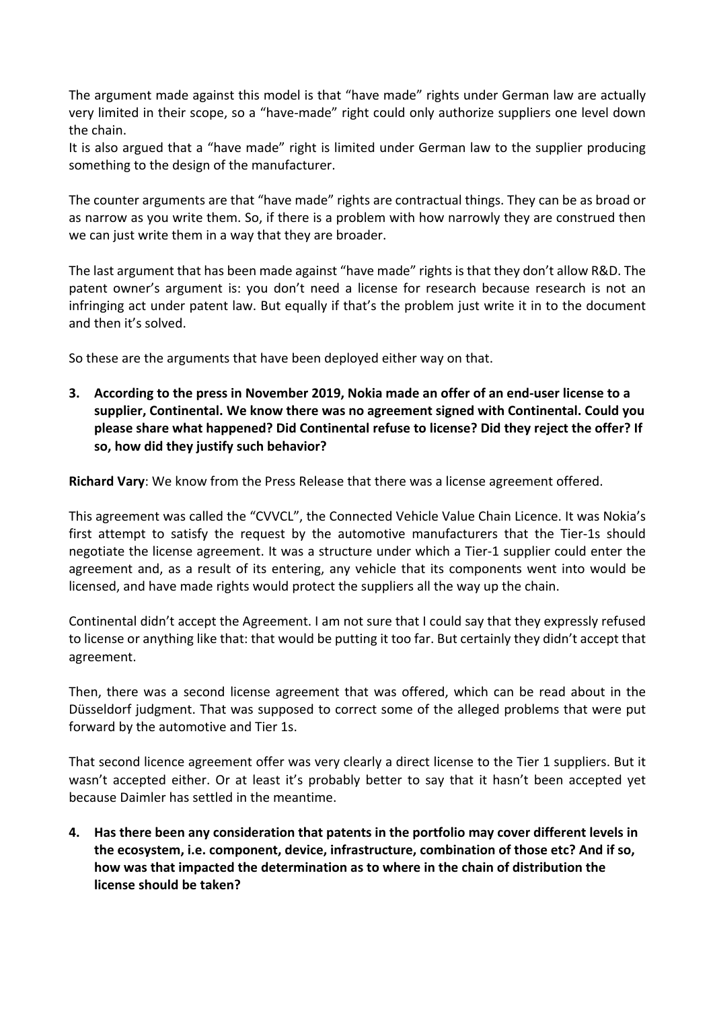The argument made against this model is that "have made" rights under German law are actually very limited in their scope, so a "have-made" right could only authorize suppliers one level down the chain.

It is also argued that a "have made" right is limited under German law to the supplier producing something to the design of the manufacturer.

The counter arguments are that "have made" rights are contractual things. They can be as broad or as narrow as you write them. So, if there is a problem with how narrowly they are construed then we can just write them in a way that they are broader.

The last argument that has been made against "have made" rights is that they don't allow R&D. The patent owner's argument is: you don't need a license for research because research is not an infringing act under patent law. But equally if that's the problem just write it in to the document and then it's solved.

So these are the arguments that have been deployed either way on that.

**3. According to the press in November 2019, Nokia made an offer of an end-user license to a supplier, Continental. We know there was no agreement signed with Continental. Could you please share what happened? Did Continental refuse to license? Did they reject the offer? If so, how did they justify such behavior?**

**Richard Vary**: We know from the Press Release that there was a license agreement offered.

This agreement was called the "CVVCL", the Connected Vehicle Value Chain Licence. It was Nokia's first attempt to satisfy the request by the automotive manufacturers that the Tier-1s should negotiate the license agreement. It was a structure under which a Tier-1 supplier could enter the agreement and, as a result of its entering, any vehicle that its components went into would be licensed, and have made rights would protect the suppliers all the way up the chain.

Continental didn't accept the Agreement. I am not sure that I could say that they expressly refused to license or anything like that: that would be putting it too far. But certainly they didn't accept that agreement.

Then, there was a second license agreement that was offered, which can be read about in the Düsseldorf judgment. That was supposed to correct some of the alleged problems that were put forward by the automotive and Tier 1s.

That second licence agreement offer was very clearly a direct license to the Tier 1 suppliers. But it wasn't accepted either. Or at least it's probably better to say that it hasn't been accepted yet because Daimler has settled in the meantime.

**4. Has there been any consideration that patents in the portfolio may cover different levels in the ecosystem, i.e. component, device, infrastructure, combination of those etc? And if so, how was that impacted the determination as to where in the chain of distribution the license should be taken?**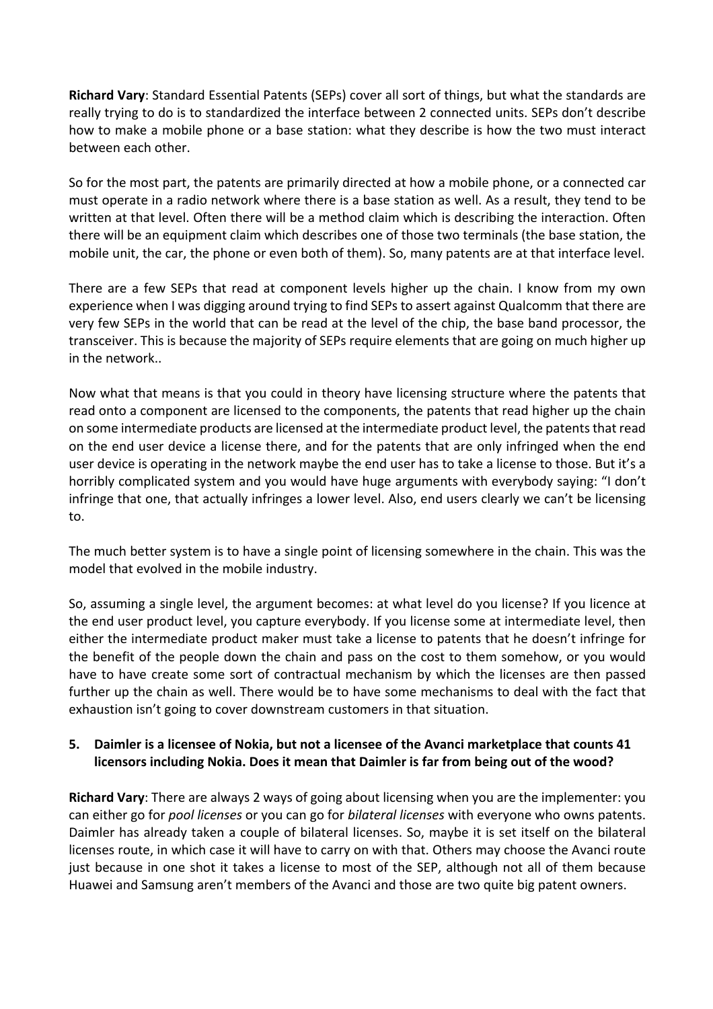**Richard Vary**: Standard Essential Patents (SEPs) cover all sort of things, but what the standards are really trying to do is to standardized the interface between 2 connected units. SEPs don't describe how to make a mobile phone or a base station: what they describe is how the two must interact between each other.

So for the most part, the patents are primarily directed at how a mobile phone, or a connected car must operate in a radio network where there is a base station as well. As a result, they tend to be written at that level. Often there will be a method claim which is describing the interaction. Often there will be an equipment claim which describes one of those two terminals (the base station, the mobile unit, the car, the phone or even both of them). So, many patents are at that interface level.

There are a few SEPs that read at component levels higher up the chain. I know from my own experience when I was digging around trying to find SEPs to assert against Qualcomm that there are very few SEPs in the world that can be read at the level of the chip, the base band processor, the transceiver. This is because the majority of SEPs require elements that are going on much higher up in the network..

Now what that means is that you could in theory have licensing structure where the patents that read onto a component are licensed to the components, the patents that read higher up the chain on some intermediate products are licensed at the intermediate product level, the patents that read on the end user device a license there, and for the patents that are only infringed when the end user device is operating in the network maybe the end user has to take a license to those. But it's a horribly complicated system and you would have huge arguments with everybody saying: "I don't infringe that one, that actually infringes a lower level. Also, end users clearly we can't be licensing to.

The much better system is to have a single point of licensing somewhere in the chain. This was the model that evolved in the mobile industry.

So, assuming a single level, the argument becomes: at what level do you license? If you licence at the end user product level, you capture everybody. If you license some at intermediate level, then either the intermediate product maker must take a license to patents that he doesn't infringe for the benefit of the people down the chain and pass on the cost to them somehow, or you would have to have create some sort of contractual mechanism by which the licenses are then passed further up the chain as well. There would be to have some mechanisms to deal with the fact that exhaustion isn't going to cover downstream customers in that situation.

## **5. Daimler is a licensee of Nokia, but not a licensee of the Avanci marketplace that counts 41 licensors including Nokia. Does it mean that Daimler is far from being out of the wood?**

**Richard Vary**: There are always 2 ways of going about licensing when you are the implementer: you can either go for *pool licenses* or you can go for *bilateral licenses* with everyone who owns patents. Daimler has already taken a couple of bilateral licenses. So, maybe it is set itself on the bilateral licenses route, in which case it will have to carry on with that. Others may choose the Avanci route just because in one shot it takes a license to most of the SEP, although not all of them because Huawei and Samsung aren't members of the Avanci and those are two quite big patent owners.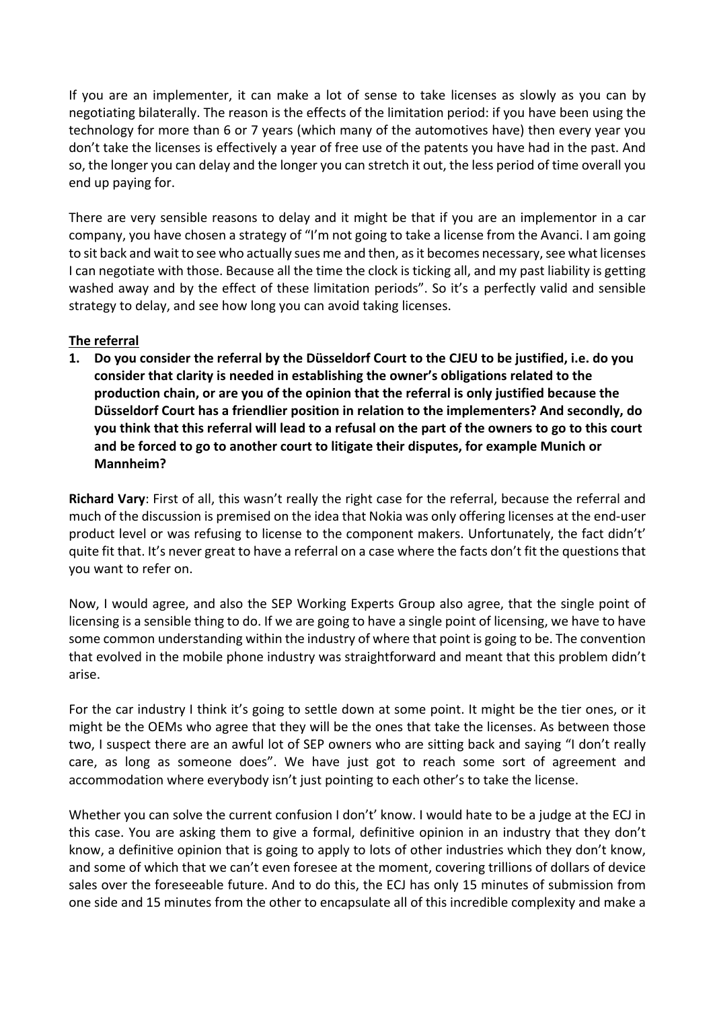If you are an implementer, it can make a lot of sense to take licenses as slowly as you can by negotiating bilaterally. The reason is the effects of the limitation period: if you have been using the technology for more than 6 or 7 years (which many of the automotives have) then every year you don't take the licenses is effectively a year of free use of the patents you have had in the past. And so, the longer you can delay and the longer you can stretch it out, the less period of time overall you end up paying for.

There are very sensible reasons to delay and it might be that if you are an implementor in a car company, you have chosen a strategy of "I'm not going to take a license from the Avanci. I am going to sit back and wait to see who actually sues me and then, as it becomes necessary, see what licenses I can negotiate with those. Because all the time the clock is ticking all, and my past liability is getting washed away and by the effect of these limitation periods". So it's a perfectly valid and sensible strategy to delay, and see how long you can avoid taking licenses.

## **The referral**

**1. Do you consider the referral by the Düsseldorf Court to the CJEU to be justified, i.e. do you consider that clarity is needed in establishing the owner's obligations related to the production chain, or are you of the opinion that the referral is only justified because the Düsseldorf Court has a friendlier position in relation to the implementers? And secondly, do you think that this referral will lead to a refusal on the part of the owners to go to this court and be forced to go to another court to litigate their disputes, for example Munich or Mannheim?**

**Richard Vary**: First of all, this wasn't really the right case for the referral, because the referral and much of the discussion is premised on the idea that Nokia was only offering licenses at the end-user product level or was refusing to license to the component makers. Unfortunately, the fact didn't' quite fit that. It's never great to have a referral on a case where the facts don't fit the questions that you want to refer on.

Now, I would agree, and also the SEP Working Experts Group also agree, that the single point of licensing is a sensible thing to do. If we are going to have a single point of licensing, we have to have some common understanding within the industry of where that point is going to be. The convention that evolved in the mobile phone industry was straightforward and meant that this problem didn't arise.

For the car industry I think it's going to settle down at some point. It might be the tier ones, or it might be the OEMs who agree that they will be the ones that take the licenses. As between those two, I suspect there are an awful lot of SEP owners who are sitting back and saying "I don't really care, as long as someone does". We have just got to reach some sort of agreement and accommodation where everybody isn't just pointing to each other's to take the license.

Whether you can solve the current confusion I don't' know. I would hate to be a judge at the ECJ in this case. You are asking them to give a formal, definitive opinion in an industry that they don't know, a definitive opinion that is going to apply to lots of other industries which they don't know, and some of which that we can't even foresee at the moment, covering trillions of dollars of device sales over the foreseeable future. And to do this, the ECJ has only 15 minutes of submission from one side and 15 minutes from the other to encapsulate all of this incredible complexity and make a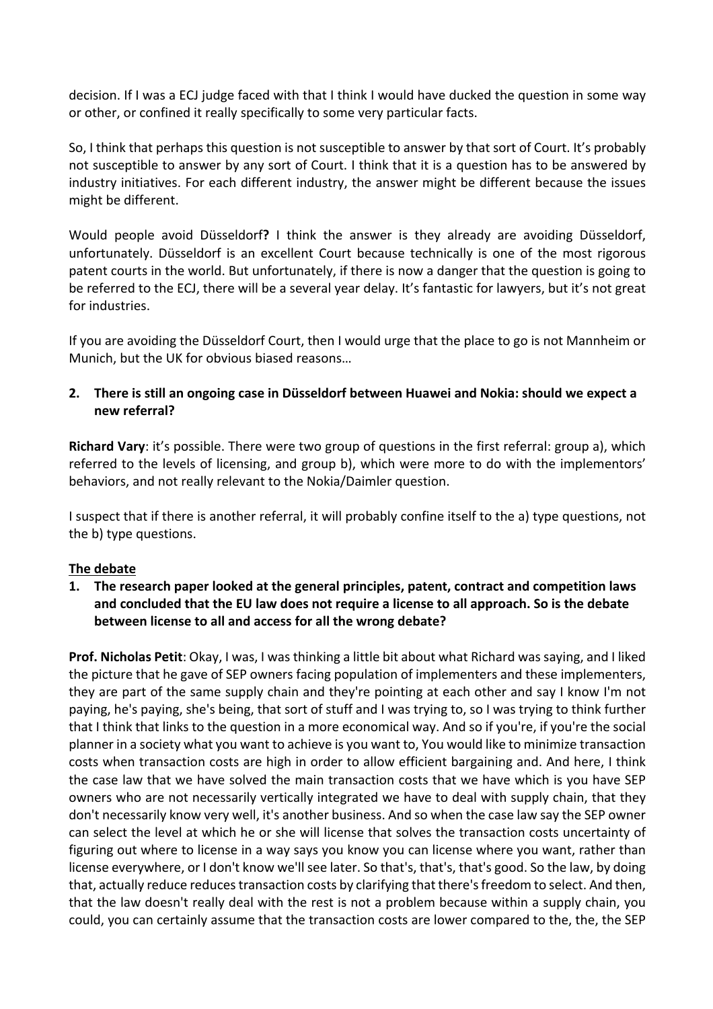decision. If I was a ECJ judge faced with that I think I would have ducked the question in some way or other, or confined it really specifically to some very particular facts.

So, I think that perhaps this question is not susceptible to answer by that sort of Court. It's probably not susceptible to answer by any sort of Court. I think that it is a question has to be answered by industry initiatives. For each different industry, the answer might be different because the issues might be different.

Would people avoid Düsseldorf**?** I think the answer is they already are avoiding Düsseldorf, unfortunately. Düsseldorf is an excellent Court because technically is one of the most rigorous patent courts in the world. But unfortunately, if there is now a danger that the question is going to be referred to the ECJ, there will be a several year delay. It's fantastic for lawyers, but it's not great for industries.

If you are avoiding the Düsseldorf Court, then I would urge that the place to go is not Mannheim or Munich, but the UK for obvious biased reasons…

# **2. There is still an ongoing case in Düsseldorf between Huawei and Nokia: should we expect a new referral?**

**Richard Vary**: it's possible. There were two group of questions in the first referral: group a), which referred to the levels of licensing, and group b), which were more to do with the implementors' behaviors, and not really relevant to the Nokia/Daimler question.

I suspect that if there is another referral, it will probably confine itself to the a) type questions, not the b) type questions.

## **The debate**

## **1. The research paper looked at the general principles, patent, contract and competition laws and concluded that the EU law does not require a license to all approach. So is the debate between license to all and access for all the wrong debate?**

**Prof. Nicholas Petit**: Okay, I was, I was thinking a little bit about what Richard was saying, and I liked the picture that he gave of SEP owners facing population of implementers and these implementers, they are part of the same supply chain and they're pointing at each other and say I know I'm not paying, he's paying, she's being, that sort of stuff and I was trying to, so I was trying to think further that I think that links to the question in a more economical way. And so if you're, if you're the social planner in a society what you want to achieve is you want to, You would like to minimize transaction costs when transaction costs are high in order to allow efficient bargaining and. And here, I think the case law that we have solved the main transaction costs that we have which is you have SEP owners who are not necessarily vertically integrated we have to deal with supply chain, that they don't necessarily know very well, it's another business. And so when the case law say the SEP owner can select the level at which he or she will license that solves the transaction costs uncertainty of figuring out where to license in a way says you know you can license where you want, rather than license everywhere, or I don't know we'll see later. So that's, that's, that's good. So the law, by doing that, actually reduce reduces transaction costs by clarifying that there's freedom to select. And then, that the law doesn't really deal with the rest is not a problem because within a supply chain, you could, you can certainly assume that the transaction costs are lower compared to the, the, the SEP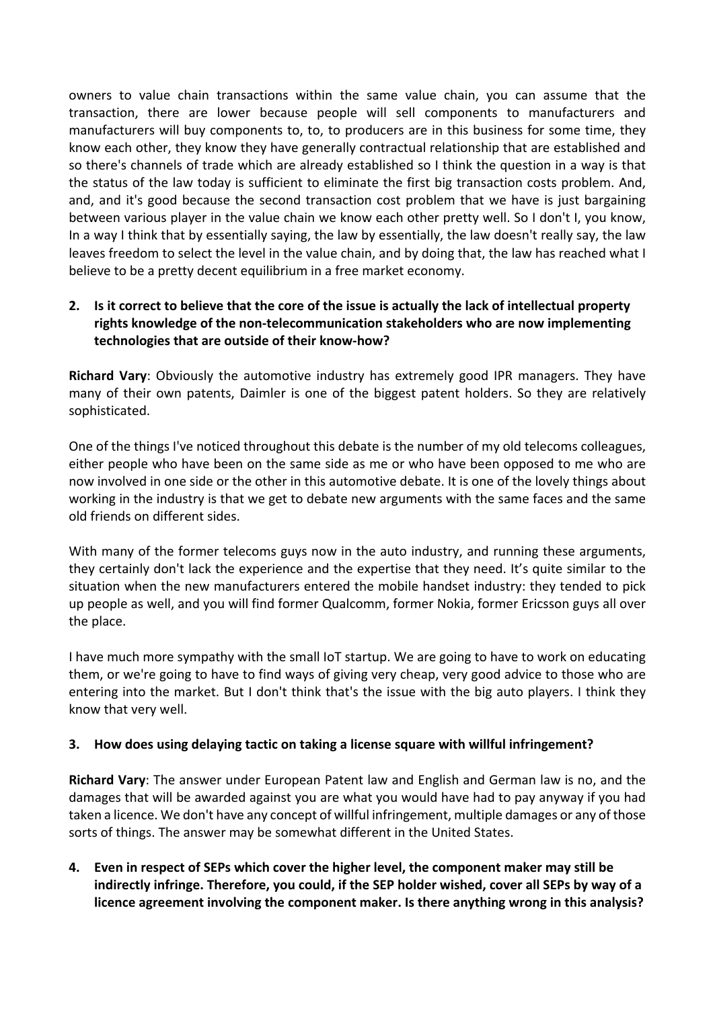owners to value chain transactions within the same value chain, you can assume that the transaction, there are lower because people will sell components to manufacturers and manufacturers will buy components to, to, to producers are in this business for some time, they know each other, they know they have generally contractual relationship that are established and so there's channels of trade which are already established so I think the question in a way is that the status of the law today is sufficient to eliminate the first big transaction costs problem. And, and, and it's good because the second transaction cost problem that we have is just bargaining between various player in the value chain we know each other pretty well. So I don't I, you know, In a way I think that by essentially saying, the law by essentially, the law doesn't really say, the law leaves freedom to select the level in the value chain, and by doing that, the law has reached what I believe to be a pretty decent equilibrium in a free market economy.

# **2. Is it correct to believe that the core of the issue is actually the lack of intellectual property rights knowledge of the non-telecommunication stakeholders who are now implementing technologies that are outside of their know-how?**

**Richard Vary**: Obviously the automotive industry has extremely good IPR managers. They have many of their own patents, Daimler is one of the biggest patent holders. So they are relatively sophisticated.

One of the things I've noticed throughout this debate is the number of my old telecoms colleagues, either people who have been on the same side as me or who have been opposed to me who are now involved in one side or the other in this automotive debate. It is one of the lovely things about working in the industry is that we get to debate new arguments with the same faces and the same old friends on different sides.

With many of the former telecoms guys now in the auto industry, and running these arguments, they certainly don't lack the experience and the expertise that they need. It's quite similar to the situation when the new manufacturers entered the mobile handset industry: they tended to pick up people as well, and you will find former Qualcomm, former Nokia, former Ericsson guys all over the place.

I have much more sympathy with the small IoT startup. We are going to have to work on educating them, or we're going to have to find ways of giving very cheap, very good advice to those who are entering into the market. But I don't think that's the issue with the big auto players. I think they know that very well.

## **3. How does using delaying tactic on taking a license square with willful infringement?**

**Richard Vary**: The answer under European Patent law and English and German law is no, and the damages that will be awarded against you are what you would have had to pay anyway if you had taken a licence. We don't have any concept of willful infringement, multiple damages or any of those sorts of things. The answer may be somewhat different in the United States.

**4. Even in respect of SEPs which cover the higher level, the component maker may still be indirectly infringe. Therefore, you could, if the SEP holder wished, cover all SEPs by way of a licence agreement involving the component maker. Is there anything wrong in this analysis?**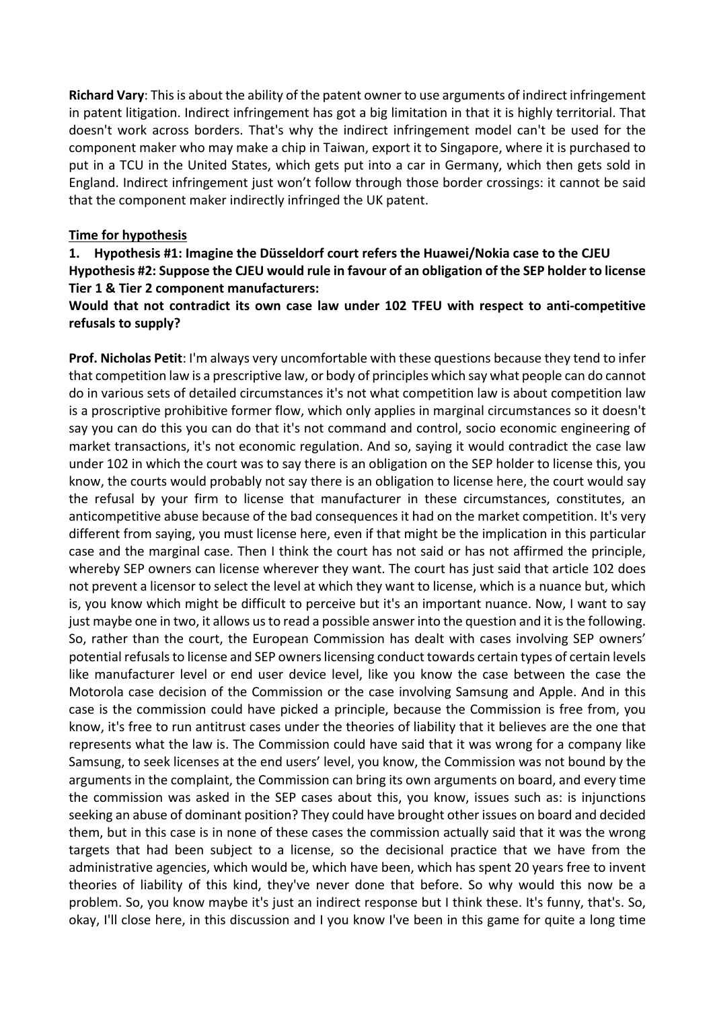**Richard Vary**: This is about the ability of the patent owner to use arguments of indirect infringement in patent litigation. Indirect infringement has got a big limitation in that it is highly territorial. That doesn't work across borders. That's why the indirect infringement model can't be used for the component maker who may make a chip in Taiwan, export it to Singapore, where it is purchased to put in a TCU in the United States, which gets put into a car in Germany, which then gets sold in England. Indirect infringement just won't follow through those border crossings: it cannot be said that the component maker indirectly infringed the UK patent.

#### **Time for hypothesis**

**1. Hypothesis #1: Imagine the Düsseldorf court refers the Huawei/Nokia case to the CJEU Hypothesis #2: Suppose the CJEU would rule in favour of an obligation of the SEP holder to license Tier 1 & Tier 2 component manufacturers:**

#### **Would that not contradict its own case law under 102 TFEU with respect to anti-competitive refusals to supply?**

**Prof. Nicholas Petit**: I'm always very uncomfortable with these questions because they tend to infer that competition law is a prescriptive law, or body of principles which say what people can do cannot do in various sets of detailed circumstances it's not what competition law is about competition law is a proscriptive prohibitive former flow, which only applies in marginal circumstances so it doesn't say you can do this you can do that it's not command and control, socio economic engineering of market transactions, it's not economic regulation. And so, saying it would contradict the case law under 102 in which the court was to say there is an obligation on the SEP holder to license this, you know, the courts would probably not say there is an obligation to license here, the court would say the refusal by your firm to license that manufacturer in these circumstances, constitutes, an anticompetitive abuse because of the bad consequences it had on the market competition. It's very different from saying, you must license here, even if that might be the implication in this particular case and the marginal case. Then I think the court has not said or has not affirmed the principle, whereby SEP owners can license wherever they want. The court has just said that article 102 does not prevent a licensor to select the level at which they want to license, which is a nuance but, which is, you know which might be difficult to perceive but it's an important nuance. Now, I want to say just maybe one in two, it allows us to read a possible answer into the question and it is the following. So, rather than the court, the European Commission has dealt with cases involving SEP owners' potential refusals to license and SEP owners licensing conduct towards certain types of certain levels like manufacturer level or end user device level, like you know the case between the case the Motorola case decision of the Commission or the case involving Samsung and Apple. And in this case is the commission could have picked a principle, because the Commission is free from, you know, it's free to run antitrust cases under the theories of liability that it believes are the one that represents what the law is. The Commission could have said that it was wrong for a company like Samsung, to seek licenses at the end users' level, you know, the Commission was not bound by the arguments in the complaint, the Commission can bring its own arguments on board, and every time the commission was asked in the SEP cases about this, you know, issues such as: is injunctions seeking an abuse of dominant position? They could have brought other issues on board and decided them, but in this case is in none of these cases the commission actually said that it was the wrong targets that had been subject to a license, so the decisional practice that we have from the administrative agencies, which would be, which have been, which has spent 20 years free to invent theories of liability of this kind, they've never done that before. So why would this now be a problem. So, you know maybe it's just an indirect response but I think these. It's funny, that's. So, okay, I'll close here, in this discussion and I you know I've been in this game for quite a long time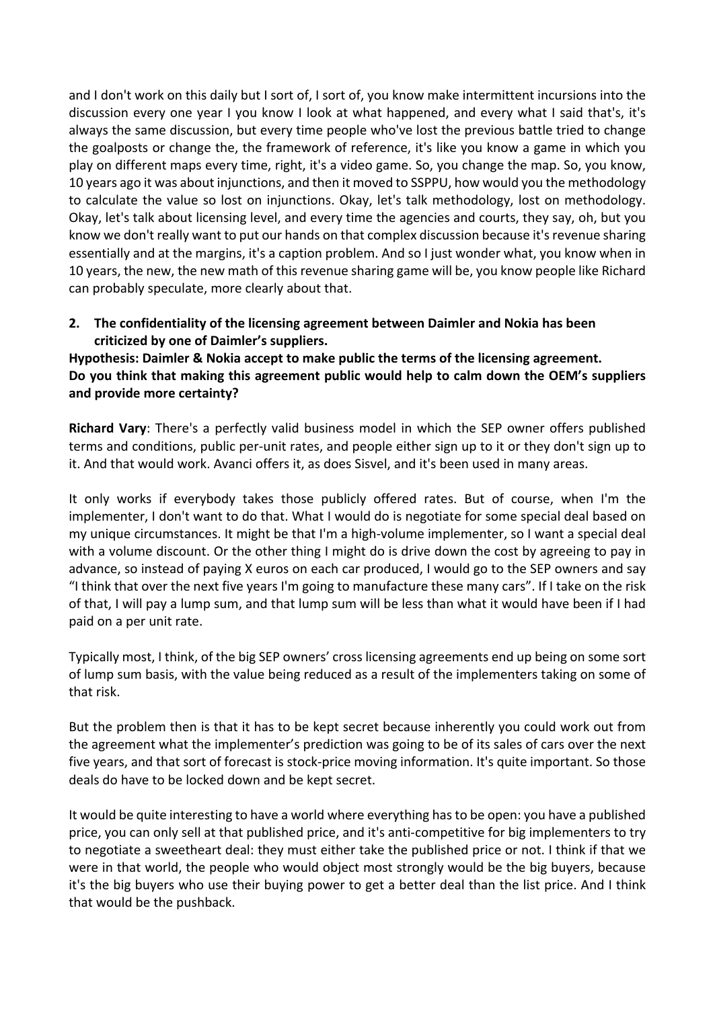and I don't work on this daily but I sort of, I sort of, you know make intermittent incursions into the discussion every one year I you know I look at what happened, and every what I said that's, it's always the same discussion, but every time people who've lost the previous battle tried to change the goalposts or change the, the framework of reference, it's like you know a game in which you play on different maps every time, right, it's a video game. So, you change the map. So, you know, 10 years ago it was about injunctions, and then it moved to SSPPU, how would you the methodology to calculate the value so lost on injunctions. Okay, let's talk methodology, lost on methodology. Okay, let's talk about licensing level, and every time the agencies and courts, they say, oh, but you know we don't really want to put our hands on that complex discussion because it's revenue sharing essentially and at the margins, it's a caption problem. And so I just wonder what, you know when in 10 years, the new, the new math of this revenue sharing game will be, you know people like Richard can probably speculate, more clearly about that.

## **2. The confidentiality of the licensing agreement between Daimler and Nokia has been criticized by one of Daimler's suppliers.**

**Hypothesis: Daimler & Nokia accept to make public the terms of the licensing agreement. Do you think that making this agreement public would help to calm down the OEM's suppliers and provide more certainty?**

**Richard Vary**: There's a perfectly valid business model in which the SEP owner offers published terms and conditions, public per-unit rates, and people either sign up to it or they don't sign up to it. And that would work. Avanci offers it, as does Sisvel, and it's been used in many areas.

It only works if everybody takes those publicly offered rates. But of course, when I'm the implementer, I don't want to do that. What I would do is negotiate for some special deal based on my unique circumstances. It might be that I'm a high-volume implementer, so I want a special deal with a volume discount. Or the other thing I might do is drive down the cost by agreeing to pay in advance, so instead of paying X euros on each car produced, I would go to the SEP owners and say "I think that over the next five years I'm going to manufacture these many cars". If I take on the risk of that, I will pay a lump sum, and that lump sum will be less than what it would have been if I had paid on a per unit rate.

Typically most, I think, of the big SEP owners' cross licensing agreements end up being on some sort of lump sum basis, with the value being reduced as a result of the implementers taking on some of that risk.

But the problem then is that it has to be kept secret because inherently you could work out from the agreement what the implementer's prediction was going to be of its sales of cars over the next five years, and that sort of forecast is stock-price moving information. It's quite important. So those deals do have to be locked down and be kept secret.

It would be quite interesting to have a world where everything has to be open: you have a published price, you can only sell at that published price, and it's anti-competitive for big implementers to try to negotiate a sweetheart deal: they must either take the published price or not. I think if that we were in that world, the people who would object most strongly would be the big buyers, because it's the big buyers who use their buying power to get a better deal than the list price. And I think that would be the pushback.